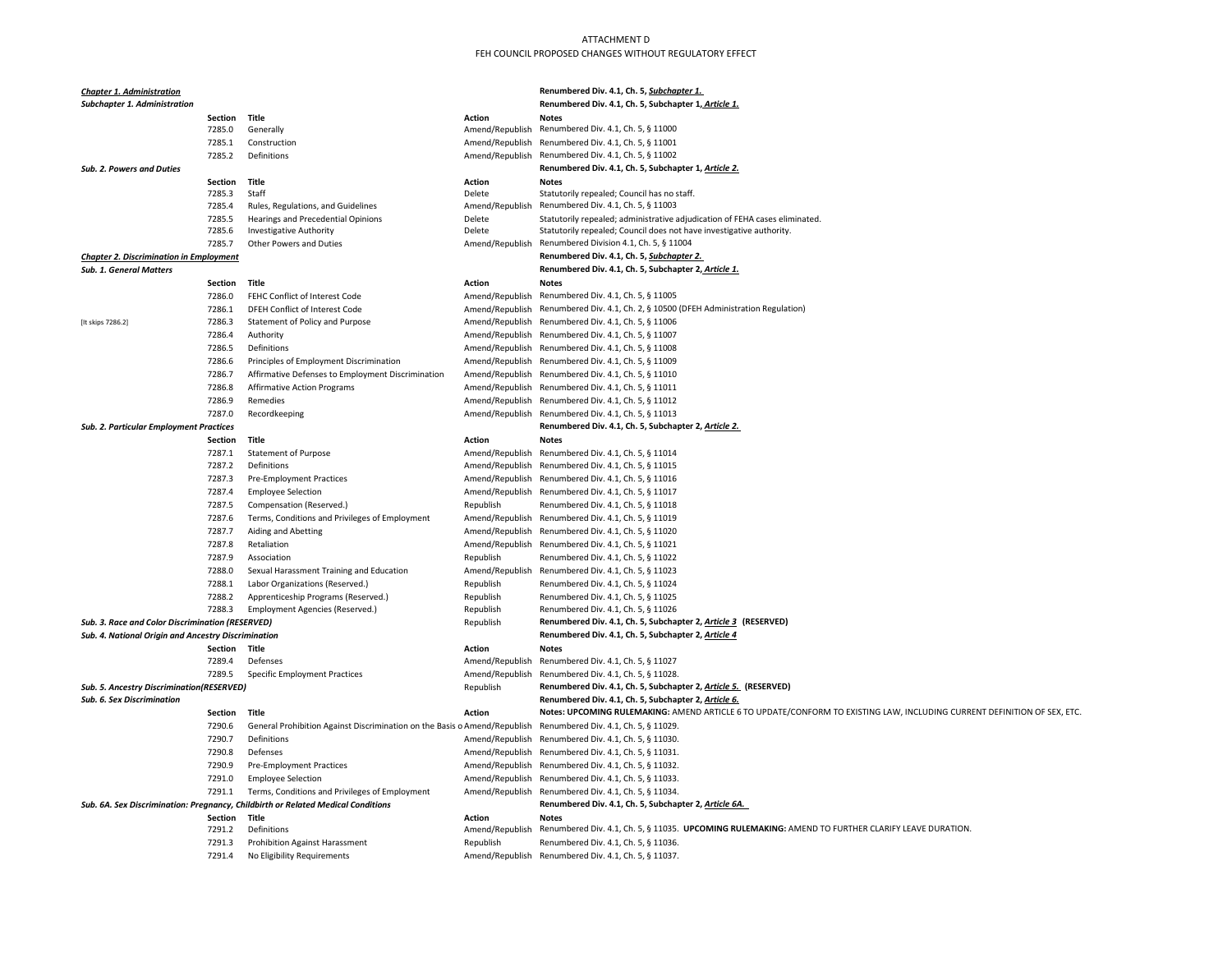| Renumbered Div. 4.1, Ch. 5, Subchapter 1.<br><b>Chapter 1. Administration</b>                           |                   |                                                                                  |                                    |                                                                                                                          |
|---------------------------------------------------------------------------------------------------------|-------------------|----------------------------------------------------------------------------------|------------------------------------|--------------------------------------------------------------------------------------------------------------------------|
| <b>Subchapter 1. Administration</b>                                                                     |                   |                                                                                  |                                    | Renumbered Div. 4.1, Ch. 5, Subchapter 1, Article 1.                                                                     |
|                                                                                                         | Section           | Title                                                                            | <b>Action</b>                      | <b>Notes</b>                                                                                                             |
|                                                                                                         | 7285.0            | Generally                                                                        | Amend/Republish                    | Renumbered Div. 4.1, Ch. 5, § 11000                                                                                      |
|                                                                                                         | 7285.1            | Construction                                                                     | Amend/Republish                    | Renumbered Div. 4.1, Ch. 5, § 11001                                                                                      |
|                                                                                                         | 7285.2            | Definitions                                                                      | Amend/Republish                    | Renumbered Div. 4.1, Ch. 5, § 11002                                                                                      |
| <b>Sub. 2. Powers and Duties</b>                                                                        |                   |                                                                                  |                                    | Renumbered Div. 4.1, Ch. 5, Subchapter 1, Article 2.                                                                     |
|                                                                                                         | Section           | Title                                                                            | <b>Action</b>                      | <b>Notes</b>                                                                                                             |
|                                                                                                         | 7285.3<br>7285.4  | Staff<br>Rules, Regulations, and Guidelines                                      | Delete<br>Amend/Republish          | Statutorily repealed; Council has no staff.<br>Renumbered Div. 4.1, Ch. 5, § 11003                                       |
|                                                                                                         | 7285.5            | Hearings and Precedential Opinions                                               | Delete                             | Statutorily repealed; administrative adjudication of FEHA cases eliminated.                                              |
|                                                                                                         | 7285.6            | <b>Investigative Authority</b>                                                   | Delete                             | Statutorily repealed; Council does not have investigative authority.                                                     |
|                                                                                                         | 7285.7            | Other Powers and Duties                                                          |                                    | Amend/Republish Renumbered Division 4.1, Ch. 5, § 11004                                                                  |
| <b>Chapter 2. Discrimination in Employment</b>                                                          |                   |                                                                                  |                                    | Renumbered Div. 4.1, Ch. 5, Subchapter 2.                                                                                |
| <b>Sub. 1. General Matters</b>                                                                          |                   |                                                                                  |                                    | Renumbered Div. 4.1, Ch. 5, Subchapter 2, Article 1.                                                                     |
|                                                                                                         | Section           | Title                                                                            | <b>Action</b>                      | <b>Notes</b>                                                                                                             |
|                                                                                                         | 7286.0            | FEHC Conflict of Interest Code                                                   | Amend/Republish                    | Renumbered Div. 4.1, Ch. 5, § 11005                                                                                      |
|                                                                                                         | 7286.1            | DFEH Conflict of Interest Code                                                   | Amend/Republish                    | Renumbered Div. 4.1, Ch. 2, § 10500 (DFEH Administration Regulation)                                                     |
| [It skips 7286.2]                                                                                       | 7286.3            | Statement of Policy and Purpose                                                  | Amend/Republish                    | Renumbered Div. 4.1, Ch. 5, § 11006                                                                                      |
|                                                                                                         | 7286.4            | Authority                                                                        | Amend/Republish                    | Renumbered Div. 4.1, Ch. 5, § 11007                                                                                      |
|                                                                                                         | 7286.5            | Definitions                                                                      | Amend/Republish                    | Renumbered Div. 4.1, Ch. 5, § 11008                                                                                      |
|                                                                                                         | 7286.6            | Principles of Employment Discrimination                                          | Amend/Republish                    | Renumbered Div. 4.1, Ch. 5, § 11009                                                                                      |
|                                                                                                         | 7286.7            | Affirmative Defenses to Employment Discrimination                                | Amend/Republish                    | Renumbered Div. 4.1, Ch. 5, § 11010                                                                                      |
|                                                                                                         | 7286.8<br>7286.9  | <b>Affirmative Action Programs</b><br>Remedies                                   |                                    | Amend/Republish Renumbered Div. 4.1, Ch. 5, § 11011                                                                      |
|                                                                                                         | 7287.0            | Recordkeeping                                                                    | Amend/Republish<br>Amend/Republish | Renumbered Div. 4.1, Ch. 5, § 11012<br>Renumbered Div. 4.1, Ch. 5, § 11013                                               |
| Sub. 2. Particular Employment Practices                                                                 |                   |                                                                                  |                                    | Renumbered Div. 4.1, Ch. 5, Subchapter 2, Article 2.                                                                     |
|                                                                                                         | Section           | Title                                                                            | <b>Action</b>                      | <b>Notes</b>                                                                                                             |
|                                                                                                         | 7287.1            | <b>Statement of Purpose</b>                                                      | Amend/Republish                    | Renumbered Div. 4.1, Ch. 5, § 11014                                                                                      |
|                                                                                                         | 7287.2            | Definitions                                                                      | Amend/Republish                    | Renumbered Div. 4.1, Ch. 5, § 11015                                                                                      |
|                                                                                                         | 7287.3            | Pre-Employment Practices                                                         | Amend/Republish                    | Renumbered Div. 4.1, Ch. 5, § 11016                                                                                      |
|                                                                                                         | 7287.4            | <b>Employee Selection</b>                                                        |                                    | Amend/Republish Renumbered Div. 4.1, Ch. 5, § 11017                                                                      |
|                                                                                                         | 7287.5            | Compensation (Reserved.)                                                         | Republish                          | Renumbered Div. 4.1, Ch. 5, § 11018                                                                                      |
|                                                                                                         | 7287.6            | Terms, Conditions and Privileges of Employment                                   | Amend/Republish                    | Renumbered Div. 4.1, Ch. 5, § 11019                                                                                      |
|                                                                                                         | 7287.7            | Aiding and Abetting                                                              | Amend/Republish                    | Renumbered Div. 4.1, Ch. 5, § 11020                                                                                      |
|                                                                                                         | 7287.8            | Retaliation                                                                      |                                    | Amend/Republish Renumbered Div. 4.1, Ch. 5, § 11021                                                                      |
|                                                                                                         | 7287.9            | Association                                                                      | Republish                          | Renumbered Div. 4.1, Ch. 5, § 11022                                                                                      |
|                                                                                                         | 7288.0            | Sexual Harassment Training and Education                                         | Amend/Republish                    | Renumbered Div. 4.1, Ch. 5, § 11023                                                                                      |
|                                                                                                         | 7288.1            | Labor Organizations (Reserved.)                                                  | Republish                          | Renumbered Div. 4.1, Ch. 5, § 11024                                                                                      |
|                                                                                                         | 7288.2            | Apprenticeship Programs (Reserved.)                                              | Republish                          | Renumbered Div. 4.1, Ch. 5, § 11025                                                                                      |
|                                                                                                         | 7288.3            | Employment Agencies (Reserved.)                                                  | Republish                          | Renumbered Div. 4.1, Ch. 5, § 11026<br>Renumbered Div. 4.1, Ch. 5, Subchapter 2, Article 3 (RESERVED)                    |
| Sub. 3. Race and Color Discrimination (RESERVED)<br>Sub. 4. National Origin and Ancestry Discrimination |                   |                                                                                  | Republish                          | Renumbered Div. 4.1, Ch. 5, Subchapter 2, Article 4                                                                      |
|                                                                                                         | <b>Section</b>    | Title                                                                            | <b>Action</b>                      | <b>Notes</b>                                                                                                             |
|                                                                                                         | 7289.4            | Defenses                                                                         | Amend/Republish                    | Renumbered Div. 4.1, Ch. 5, § 11027                                                                                      |
|                                                                                                         | 7289.5            | <b>Specific Employment Practices</b>                                             | Amend/Republish                    | Renumbered Div. 4.1, Ch. 5, § 11028.                                                                                     |
| <b>Sub. 5. Ancestry Discrimination(RESERVED)</b>                                                        |                   |                                                                                  | Republish                          | Renumbered Div. 4.1, Ch. 5, Subchapter 2, Article 5. (RESERVED)                                                          |
| Sub. 6. Sex Discrimination                                                                              |                   |                                                                                  |                                    | Renumbered Div. 4.1, Ch. 5, Subchapter 2, Article 6.                                                                     |
|                                                                                                         | Section           | Title                                                                            | <b>Action</b>                      | Notes: UPCOMING RULEMAKING: AMEND ARTICLE 6 TO UPDATE/CONFORM TO EXISTING LAW, INCLUDING CURRENT DEFINITION OF SEX, ETC. |
|                                                                                                         | 7290.6            | General Prohibition Against Discrimination on the Basis o Amend/Republish        |                                    | Renumbered Div. 4.1, Ch. 5, § 11029.                                                                                     |
|                                                                                                         | 7290.7            | Definitions                                                                      | Amend/Republish                    | Renumbered Div. 4.1, Ch. 5, § 11030.                                                                                     |
|                                                                                                         | 7290.8            | Defenses                                                                         | Amend/Republish                    | Renumbered Div. 4.1, Ch. 5, § 11031.                                                                                     |
|                                                                                                         | 7290.9            | Pre-Employment Practices                                                         | Amend/Republish                    | Renumbered Div. 4.1, Ch. 5, § 11032.                                                                                     |
|                                                                                                         | 7291.0            | <b>Employee Selection</b>                                                        | Amend/Republish                    | Renumbered Div. 4.1, Ch. 5, § 11033.                                                                                     |
|                                                                                                         | 7291.1            | Terms, Conditions and Privileges of Employment                                   | Amend/Republish                    | Renumbered Div. 4.1, Ch. 5, § 11034.                                                                                     |
|                                                                                                         |                   | Sub. 6A. Sex Discrimination: Pregnancy, Childbirth or Related Medical Conditions |                                    | Renumbered Div. 4.1, Ch. 5, Subchapter 2, Article 6A.                                                                    |
|                                                                                                         | Section<br>7291.2 | Title<br>Definitions                                                             | Action<br>Amend/Republish          | <b>Notes</b><br>Renumbered Div. 4.1, Ch. 5, § 11035. UPCOMING RULEMAKING: AMEND TO FURTHER CLARIFY LEAVE DURATION.       |
|                                                                                                         | 7291.3            | <b>Prohibition Against Harassment</b>                                            | Republish                          | Renumbered Div. 4.1, Ch. 5, § 11036.                                                                                     |
|                                                                                                         | 7291.4            | No Eligibility Requirements                                                      |                                    | Amend/Republish Renumbered Div. 4.1, Ch. 5, § 11037                                                                      |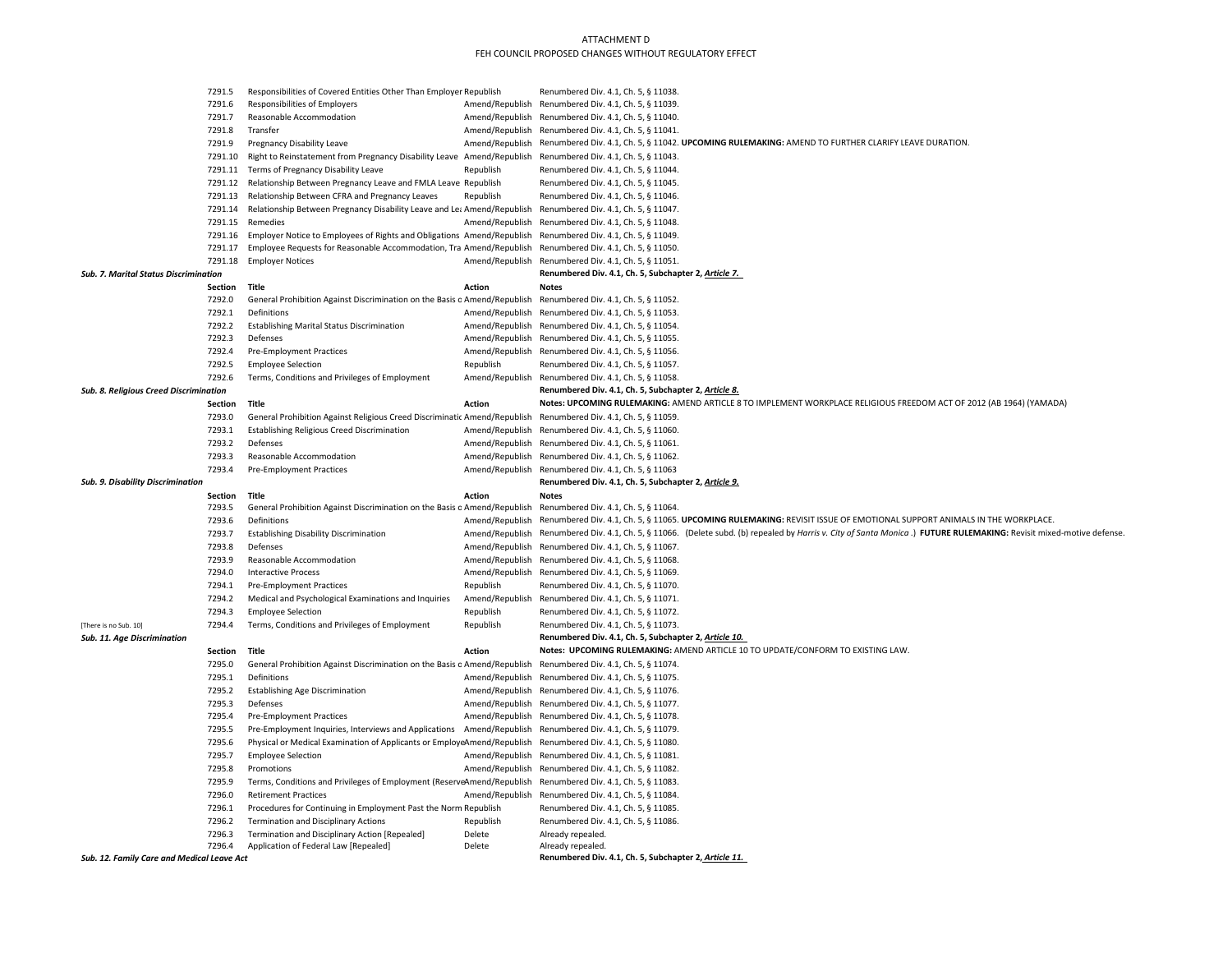|                                                                                   | 7291.5<br>Responsibilities of Covered Entities Other Than Employer Republish |                                                                           |                                      | Renumbered Div. 4.1, Ch. 5, § 11038.                                                                                                                 |  |  |  |
|-----------------------------------------------------------------------------------|------------------------------------------------------------------------------|---------------------------------------------------------------------------|--------------------------------------|------------------------------------------------------------------------------------------------------------------------------------------------------|--|--|--|
| 7291.6<br>Responsibilities of Employers<br>Amend/Republish                        |                                                                              |                                                                           | Renumbered Div. 4.1, Ch. 5, § 11039. |                                                                                                                                                      |  |  |  |
| 7291.7<br>Reasonable Accommodation<br>Amend/Republish                             |                                                                              |                                                                           | Renumbered Div. 4.1, Ch. 5, § 11040. |                                                                                                                                                      |  |  |  |
| 7291.8<br>Transfer<br>Amend/Republish                                             |                                                                              |                                                                           | Renumbered Div. 4.1, Ch. 5, § 11041. |                                                                                                                                                      |  |  |  |
| 7291.9<br><b>Pregnancy Disability Leave</b><br>Amend/Republish                    |                                                                              |                                                                           |                                      | Renumbered Div. 4.1, Ch. 5, § 11042. UPCOMING RULEMAKING: AMEND TO FURTHER CLARIFY LEAVE DURATION.                                                   |  |  |  |
| 7291.10<br>Right to Reinstatement from Pregnancy Disability Leave Amend/Republish |                                                                              |                                                                           |                                      | Renumbered Div. 4.1, Ch. 5, § 11043.                                                                                                                 |  |  |  |
|                                                                                   |                                                                              | 7291.11 Terms of Pregnancy Disability Leave                               | Republish                            | Renumbered Div. 4.1, Ch. 5, § 11044.                                                                                                                 |  |  |  |
|                                                                                   |                                                                              | 7291.12 Relationship Between Pregnancy Leave and FMLA Leave Republish     |                                      | Renumbered Div. 4.1, Ch. 5, § 11045.                                                                                                                 |  |  |  |
|                                                                                   |                                                                              | 7291.13 Relationship Between CFRA and Pregnancy Leaves                    | Republish                            | Renumbered Div. 4.1, Ch. 5, § 11046.                                                                                                                 |  |  |  |
|                                                                                   | 7291.14                                                                      | Relationship Between Pregnancy Disability Leave and Lea Amend/Republish   |                                      | Renumbered Div. 4.1, Ch. 5, § 11047.                                                                                                                 |  |  |  |
|                                                                                   | 7291.15                                                                      | Remedies                                                                  | Amend/Republish                      | Renumbered Div. 4.1, Ch. 5, § 11048.                                                                                                                 |  |  |  |
|                                                                                   | 7291.16                                                                      | Employer Notice to Employees of Rights and Obligations Amend/Republish    |                                      | Renumbered Div. 4.1, Ch. 5, § 11049.                                                                                                                 |  |  |  |
|                                                                                   | 7291.17                                                                      | Employee Requests for Reasonable Accommodation, Tra Amend/Republish       |                                      | Renumbered Div. 4.1, Ch. 5, § 11050.                                                                                                                 |  |  |  |
|                                                                                   | 7291.18                                                                      | <b>Employer Notices</b>                                                   | Amend/Republish                      | Renumbered Div. 4.1, Ch. 5, § 11051.                                                                                                                 |  |  |  |
| <b>Sub. 7. Marital Status Discrimination</b>                                      |                                                                              |                                                                           |                                      | Renumbered Div. 4.1, Ch. 5, Subchapter 2, Article 7.                                                                                                 |  |  |  |
|                                                                                   | Section                                                                      | Title                                                                     | <b>Action</b>                        | <b>Notes</b>                                                                                                                                         |  |  |  |
|                                                                                   | 7292.0                                                                       | General Prohibition Against Discrimination on the Basis o Amend/Republish |                                      | Renumbered Div. 4.1, Ch. 5, § 11052.                                                                                                                 |  |  |  |
|                                                                                   | 7292.1                                                                       | Definitions                                                               | Amend/Republish                      | Renumbered Div. 4.1, Ch. 5, § 11053.                                                                                                                 |  |  |  |
|                                                                                   | 7292.2                                                                       | <b>Establishing Marital Status Discrimination</b>                         | Amend/Republish                      | Renumbered Div. 4.1, Ch. 5, § 11054.                                                                                                                 |  |  |  |
|                                                                                   | 7292.3                                                                       | Defenses                                                                  |                                      | Amend/Republish Renumbered Div. 4.1, Ch. 5, § 11055.                                                                                                 |  |  |  |
|                                                                                   | 7292.4                                                                       | Pre-Employment Practices                                                  | Amend/Republish                      | Renumbered Div. 4.1, Ch. 5, § 11056.                                                                                                                 |  |  |  |
|                                                                                   | 7292.5                                                                       | <b>Employee Selection</b>                                                 | Republish                            | Renumbered Div. 4.1, Ch. 5, § 11057.                                                                                                                 |  |  |  |
|                                                                                   | 7292.6                                                                       | Terms, Conditions and Privileges of Employment                            | Amend/Republish                      | Renumbered Div. 4.1, Ch. 5, § 11058.                                                                                                                 |  |  |  |
| <b>Sub. 8. Religious Creed Discrimination</b>                                     |                                                                              |                                                                           |                                      | Renumbered Div. 4.1, Ch. 5, Subchapter 2, Article 8.                                                                                                 |  |  |  |
|                                                                                   | Section                                                                      | Title                                                                     | <b>Action</b>                        | Notes: UPCOMING RULEMAKING: AMEND ARTICLE 8 TO IMPLEMENT WORKPLACE RELIGIOUS FREEDOM ACT OF 2012 (AB 1964) (YAMADA)                                  |  |  |  |
|                                                                                   | 7293.0                                                                       | General Prohibition Against Religious Creed Discriminatic Amend/Republish |                                      | Renumbered Div. 4.1, Ch. 5, § 11059.                                                                                                                 |  |  |  |
|                                                                                   | 7293.1                                                                       | <b>Establishing Religious Creed Discrimination</b>                        | Amend/Republish                      | Renumbered Div. 4.1, Ch. 5, § 11060.                                                                                                                 |  |  |  |
|                                                                                   | 7293.2<br>7293.3                                                             | Defenses                                                                  | Amend/Republish                      | Renumbered Div. 4.1, Ch. 5, § 11061.                                                                                                                 |  |  |  |
|                                                                                   | 7293.4                                                                       | Reasonable Accommodation                                                  | Amend/Republish                      | Renumbered Div. 4.1, Ch. 5, § 11062.                                                                                                                 |  |  |  |
|                                                                                   |                                                                              | <b>Pre-Employment Practices</b>                                           | Amend/Republish                      | Renumbered Div. 4.1, Ch. 5, § 11063                                                                                                                  |  |  |  |
|                                                                                   |                                                                              |                                                                           |                                      |                                                                                                                                                      |  |  |  |
| Sub. 9. Disability Discrimination                                                 |                                                                              |                                                                           |                                      | Renumbered Div. 4.1, Ch. 5, Subchapter 2, Article 9.                                                                                                 |  |  |  |
|                                                                                   | Section                                                                      | Title                                                                     | <b>Action</b>                        | <b>Notes</b>                                                                                                                                         |  |  |  |
|                                                                                   | 7293.5                                                                       | General Prohibition Against Discrimination on the Basis o Amend/Republish |                                      | Renumbered Div. 4.1, Ch. 5, § 11064.                                                                                                                 |  |  |  |
|                                                                                   | 7293.6                                                                       | Definitions                                                               | Amend/Republish                      | Renumbered Div. 4.1, Ch. 5, § 11065. UPCOMING RULEMAKING: REVISIT ISSUE OF EMOTIONAL SUPPORT ANIMALS IN THE WORKPLACE.                               |  |  |  |
|                                                                                   | 7293.7                                                                       | <b>Establishing Disability Discrimination</b>                             | Amend/Republish                      | Renumbered Div. 4.1, Ch. 5, § 11066. (Delete subd. (b) repealed by Harris v. City of Santa Monica.) FUTURE RULEMAKING: Revisit mixed-motive defense. |  |  |  |
|                                                                                   | 7293.8                                                                       | Defenses                                                                  | Amend/Republish                      | Renumbered Div. 4.1, Ch. 5, § 11067.                                                                                                                 |  |  |  |
|                                                                                   | 7293.9                                                                       | Reasonable Accommodation                                                  | Amend/Republish                      | Renumbered Div. 4.1, Ch. 5, § 11068.                                                                                                                 |  |  |  |
|                                                                                   | 7294.0                                                                       | <b>Interactive Process</b>                                                | Amend/Republish                      | Renumbered Div. 4.1, Ch. 5, § 11069.                                                                                                                 |  |  |  |
|                                                                                   | 7294.1                                                                       | <b>Pre-Employment Practices</b>                                           | Republish                            | Renumbered Div. 4.1, Ch. 5, § 11070.                                                                                                                 |  |  |  |
|                                                                                   | 7294.2                                                                       | Medical and Psychological Examinations and Inquiries                      | Amend/Republish                      | Renumbered Div. 4.1, Ch. 5, § 11071.                                                                                                                 |  |  |  |
|                                                                                   | 7294.3                                                                       | <b>Employee Selection</b>                                                 | Republish                            | Renumbered Div. 4.1, Ch. 5, § 11072.                                                                                                                 |  |  |  |
| [There is no Sub. 10]<br>Sub. 11. Age Discrimination                              | 7294.4                                                                       | Terms, Conditions and Privileges of Employment                            | Republish                            | Renumbered Div. 4.1, Ch. 5, § 11073.<br>Renumbered Div. 4.1, Ch. 5, Subchapter 2, Article 10.                                                        |  |  |  |
|                                                                                   | Section                                                                      | Title                                                                     | <b>Action</b>                        | Notes: UPCOMING RULEMAKING: AMEND ARTICLE 10 TO UPDATE/CONFORM TO EXISTING LAW.                                                                      |  |  |  |
|                                                                                   | 7295.0                                                                       | General Prohibition Against Discrimination on the Basis o Amend/Republish |                                      | Renumbered Div. 4.1, Ch. 5, § 11074.                                                                                                                 |  |  |  |
|                                                                                   | 7295.1                                                                       | Definitions                                                               | Amend/Republish                      | Renumbered Div. 4.1, Ch. 5, § 11075.                                                                                                                 |  |  |  |
|                                                                                   | 7295.2                                                                       | <b>Establishing Age Discrimination</b>                                    | Amend/Republish                      | Renumbered Div. 4.1, Ch. 5, § 11076.                                                                                                                 |  |  |  |
|                                                                                   | 7295.3                                                                       | Defenses                                                                  | Amend/Republish                      | Renumbered Div. 4.1, Ch. 5, § 11077.                                                                                                                 |  |  |  |
|                                                                                   | 7295.4                                                                       | Pre-Employment Practices                                                  | Amend/Republish                      | Renumbered Div. 4.1, Ch. 5, § 11078.                                                                                                                 |  |  |  |
|                                                                                   | 7295.5                                                                       | Pre-Employment Inquiries, Interviews and Applications                     | Amend/Republish                      | Renumbered Div. 4.1, Ch. 5, § 11079.                                                                                                                 |  |  |  |
|                                                                                   | 7295.6                                                                       | Physical or Medical Examination of Applicants or EmployeAmend/Republish   |                                      | Renumbered Div. 4.1, Ch. 5, § 11080.                                                                                                                 |  |  |  |
|                                                                                   | 7295.7                                                                       | <b>Employee Selection</b>                                                 | Amend/Republish                      | Renumbered Div. 4.1, Ch. 5, § 11081.                                                                                                                 |  |  |  |
|                                                                                   | 7295.8                                                                       | Promotions                                                                | Amend/Republish                      | Renumbered Div. 4.1, Ch. 5, § 11082.                                                                                                                 |  |  |  |
|                                                                                   | 7295.9                                                                       | Terms, Conditions and Privileges of Employment (ReserveAmend/Republish    |                                      | Renumbered Div. 4.1, Ch. 5, § 11083.                                                                                                                 |  |  |  |
|                                                                                   | 7296.0                                                                       | <b>Retirement Practices</b>                                               | Amend/Republish                      | Renumbered Div. 4.1, Ch. 5, § 11084.                                                                                                                 |  |  |  |
|                                                                                   | 7296.1                                                                       | Procedures for Continuing in Employment Past the Norm Republish           |                                      | Renumbered Div. 4.1, Ch. 5, § 11085.                                                                                                                 |  |  |  |
|                                                                                   | 7296.2                                                                       | Termination and Disciplinary Actions                                      | Republish                            | Renumbered Div. 4.1, Ch. 5, § 11086.                                                                                                                 |  |  |  |
|                                                                                   | 7296.3                                                                       | Termination and Disciplinary Action [Repealed]                            | Delete                               | Already repealed.                                                                                                                                    |  |  |  |
| Sub. 12. Family Care and Medical Leave Act                                        | 7296.4                                                                       | Application of Federal Law [Repealed]                                     | Delete                               | Already repealed.<br>Renumbered Div. 4.1, Ch. 5, Subchapter 2, Article 11.                                                                           |  |  |  |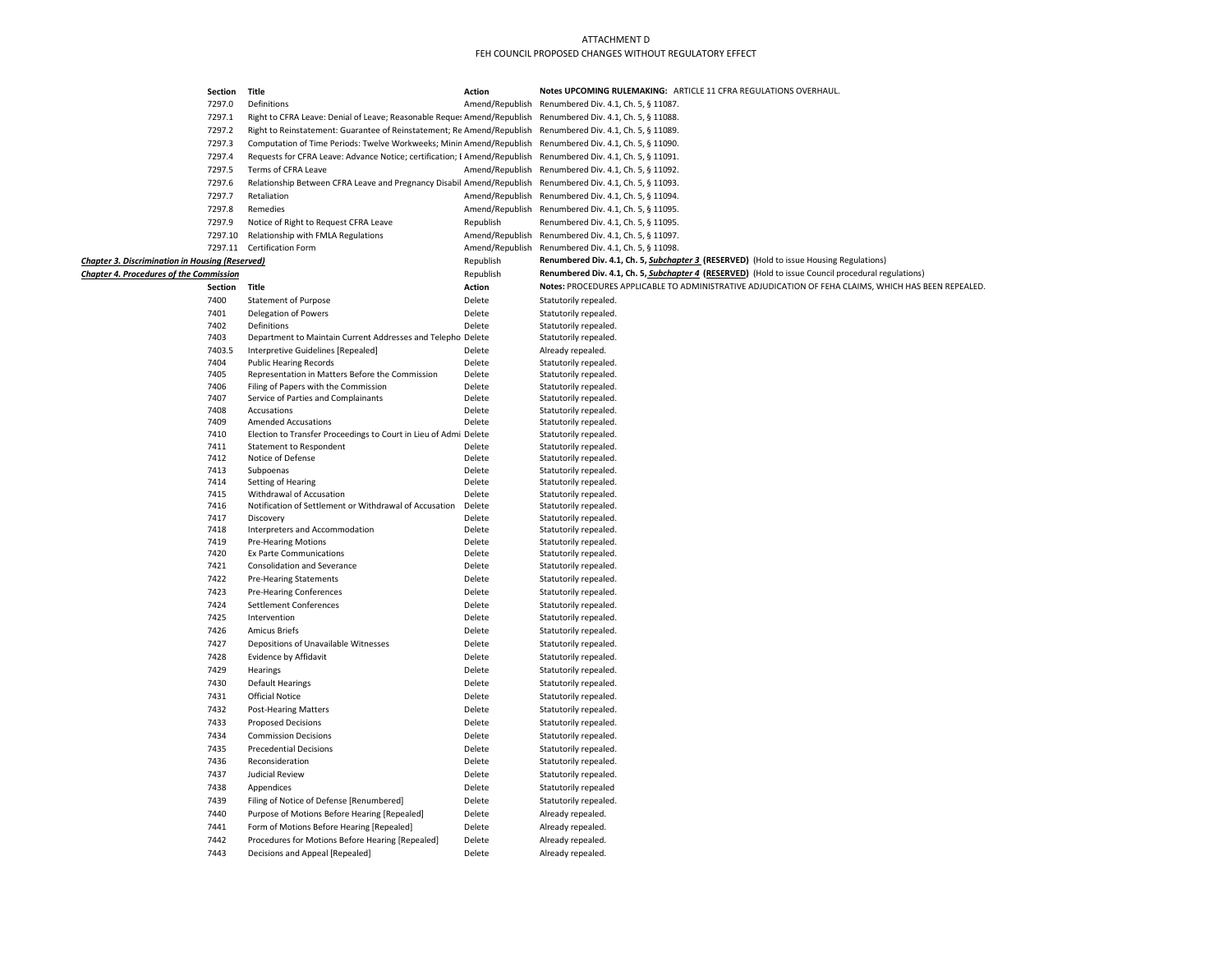|                                                        | Section      | Title                                                                     | <b>Action</b>    | Notes UPCOMING RULEMAKING: ARTICLE 11 CFRA REGULATIONS OVERHAUL.                                     |
|--------------------------------------------------------|--------------|---------------------------------------------------------------------------|------------------|------------------------------------------------------------------------------------------------------|
|                                                        | 7297.0       | Definitions                                                               | Amend/Republish  | Renumbered Div. 4.1, Ch. 5, § 11087.                                                                 |
|                                                        | 7297.1       | Right to CFRA Leave: Denial of Leave; Reasonable Reques Amend/Republish   |                  | Renumbered Div. 4.1, Ch. 5, § 11088.                                                                 |
|                                                        | 7297.2       | Right to Reinstatement: Guarantee of Reinstatement; Re Amend/Republish    |                  | Renumbered Div. 4.1, Ch. 5, § 11089.                                                                 |
|                                                        | 7297.3       | Computation of Time Periods: Twelve Workweeks; Minin Amend/Republish      |                  | Renumbered Div. 4.1, Ch. 5, § 11090.                                                                 |
|                                                        | 7297.4       | Requests for CFRA Leave: Advance Notice; certification; E Amend/Republish |                  | Renumbered Div. 4.1, Ch. 5, § 11091.                                                                 |
|                                                        | 7297.5       | Terms of CFRA Leave                                                       | Amend/Republish  | Renumbered Div. 4.1, Ch. 5, § 11092.                                                                 |
|                                                        | 7297.6       | Relationship Between CFRA Leave and Pregnancy Disabil Amend/Republish     |                  | Renumbered Div. 4.1, Ch. 5, § 11093.                                                                 |
|                                                        | 7297.7       | Retaliation                                                               | Amend/Republish  | Renumbered Div. 4.1, Ch. 5, § 11094.                                                                 |
|                                                        | 7297.8       | Remedies                                                                  |                  | Amend/Republish Renumbered Div. 4.1, Ch. 5, § 11095.                                                 |
|                                                        | 7297.9       | Notice of Right to Request CFRA Leave                                     | Republish        | Renumbered Div. 4.1, Ch. 5, § 11095.                                                                 |
|                                                        | 7297.10      | Relationship with FMLA Regulations                                        | Amend/Republish  | Renumbered Div. 4.1, Ch. 5, § 11097.                                                                 |
|                                                        | 7297.11      | Certification Form                                                        | Amend/Republish  | Renumbered Div. 4.1, Ch. 5, § 11098.                                                                 |
| <b>Chapter 3. Discrimination in Housing (Reserved)</b> |              |                                                                           | Republish        | Renumbered Div. 4.1, Ch. 5, Subchapter 3 (RESERVED) (Hold to issue Housing Regulations)              |
| <b>Chapter 4. Procedures of the Commission</b>         |              |                                                                           | Republish        | Renumbered Div. 4.1, Ch. 5, Subchapter 4 (RESERVED) (Hold to issue Council procedural regulations)   |
|                                                        | Section      | Title                                                                     | Action           | Notes: PROCEDURES APPLICABLE TO ADMINISTRATIVE ADJUDICATION OF FEHA CLAIMS, WHICH HAS BEEN REPEALED. |
|                                                        | 7400         | <b>Statement of Purpose</b>                                               | Delete           | Statutorily repealed.                                                                                |
|                                                        | 7401         | Delegation of Powers                                                      | Delete           | Statutorily repealed.                                                                                |
|                                                        | 7402         | Definitions                                                               | Delete           | Statutorily repealed.                                                                                |
|                                                        | 7403         | Department to Maintain Current Addresses and Telepho Delete               |                  | Statutorily repealed.                                                                                |
|                                                        | 7403.5       | Interpretive Guidelines [Repealed]                                        | Delete           | Already repealed.                                                                                    |
|                                                        | 7404         | <b>Public Hearing Records</b>                                             | Delete           | Statutorily repealed.                                                                                |
|                                                        | 7405         | Representation in Matters Before the Commission                           | Delete           | Statutorily repealed.                                                                                |
|                                                        | 7406         | Filing of Papers with the Commission                                      | Delete           | Statutorily repealed.                                                                                |
|                                                        | 7407         | Service of Parties and Complainants                                       | Delete           | Statutorily repealed.                                                                                |
|                                                        | 7408         | Accusations                                                               | Delete           | Statutorily repealed.                                                                                |
|                                                        | 7409         | <b>Amended Accusations</b>                                                | Delete           | Statutorily repealed.                                                                                |
|                                                        | 7410         | Election to Transfer Proceedings to Court in Lieu of Admi Delete          |                  | Statutorily repealed.                                                                                |
|                                                        | 7411         | <b>Statement to Respondent</b>                                            | Delete           | Statutorily repealed.                                                                                |
|                                                        | 7412         | Notice of Defense                                                         | Delete           | Statutorily repealed.                                                                                |
|                                                        | 7413         | Subpoenas                                                                 | Delete           | Statutorily repealed.                                                                                |
|                                                        | 7414         | Setting of Hearing                                                        | Delete           | Statutorily repealed.                                                                                |
|                                                        | 7415         | Withdrawal of Accusation                                                  | Delete           | Statutorily repealed.                                                                                |
|                                                        | 7416<br>7417 | Notification of Settlement or Withdrawal of Accusation<br>Discovery       | Delete<br>Delete | Statutorily repealed.<br>Statutorily repealed.                                                       |
|                                                        | 7418         | Interpreters and Accommodation                                            | Delete           | Statutorily repealed.                                                                                |
|                                                        | 7419         | <b>Pre-Hearing Motions</b>                                                | Delete           | Statutorily repealed.                                                                                |
|                                                        | 7420         | Ex Parte Communications                                                   | Delete           | Statutorily repealed.                                                                                |
|                                                        | 7421         | Consolidation and Severance                                               | Delete           | Statutorily repealed.                                                                                |
|                                                        | 7422         | <b>Pre-Hearing Statements</b>                                             | Delete           | Statutorily repealed.                                                                                |
|                                                        | 7423         | <b>Pre-Hearing Conferences</b>                                            | Delete           | Statutorily repealed.                                                                                |
|                                                        | 7424         | <b>Settlement Conferences</b>                                             | Delete           | Statutorily repealed.                                                                                |
|                                                        | 7425         | Intervention                                                              | Delete           | Statutorily repealed.                                                                                |
|                                                        | 7426         | <b>Amicus Briefs</b>                                                      | Delete           | Statutorily repealed.                                                                                |
|                                                        | 7427         | Depositions of Unavailable Witnesses                                      | Delete           | Statutorily repealed.                                                                                |
|                                                        | 7428         | Evidence by Affidavit                                                     | Delete           | Statutorily repealed.                                                                                |
|                                                        | 7429         | Hearings                                                                  | Delete           | Statutorily repealed.                                                                                |
|                                                        | 7430         | <b>Default Hearings</b>                                                   | Delete           | Statutorily repealed.                                                                                |
|                                                        | 7431         | <b>Official Notice</b>                                                    | Delete           | Statutorily repealed.                                                                                |
|                                                        | 7432         |                                                                           | Delete           | Statutorily repealed.                                                                                |
|                                                        | 7433         | <b>Post-Hearing Matters</b>                                               | Delete           |                                                                                                      |
|                                                        | 7434         | <b>Proposed Decisions</b>                                                 |                  | Statutorily repealed.                                                                                |
|                                                        |              | <b>Commission Decisions</b>                                               | Delete           | Statutorily repealed.                                                                                |
|                                                        | 7435         | <b>Precedential Decisions</b>                                             | Delete           | Statutorily repealed.                                                                                |
|                                                        | 7436         | Reconsideration                                                           | Delete           | Statutorily repealed.                                                                                |
|                                                        | 7437         | Judicial Review                                                           | Delete           | Statutorily repealed.                                                                                |
|                                                        | 7438         | Appendices                                                                | Delete           | Statutorily repealed                                                                                 |
|                                                        | 7439         | Filing of Notice of Defense [Renumbered]                                  | Delete           | Statutorily repealed.                                                                                |
|                                                        | 7440         | Purpose of Motions Before Hearing [Repealed]                              | Delete           | Already repealed.                                                                                    |
|                                                        | 7441         | Form of Motions Before Hearing [Repealed]                                 | Delete           | Already repealed.                                                                                    |
|                                                        | 7442         | Procedures for Motions Before Hearing [Repealed]                          | Delete           | Already repealed.                                                                                    |
|                                                        | 7443         | Decisions and Appeal [Repealed]                                           | Delete           | Already repealed.                                                                                    |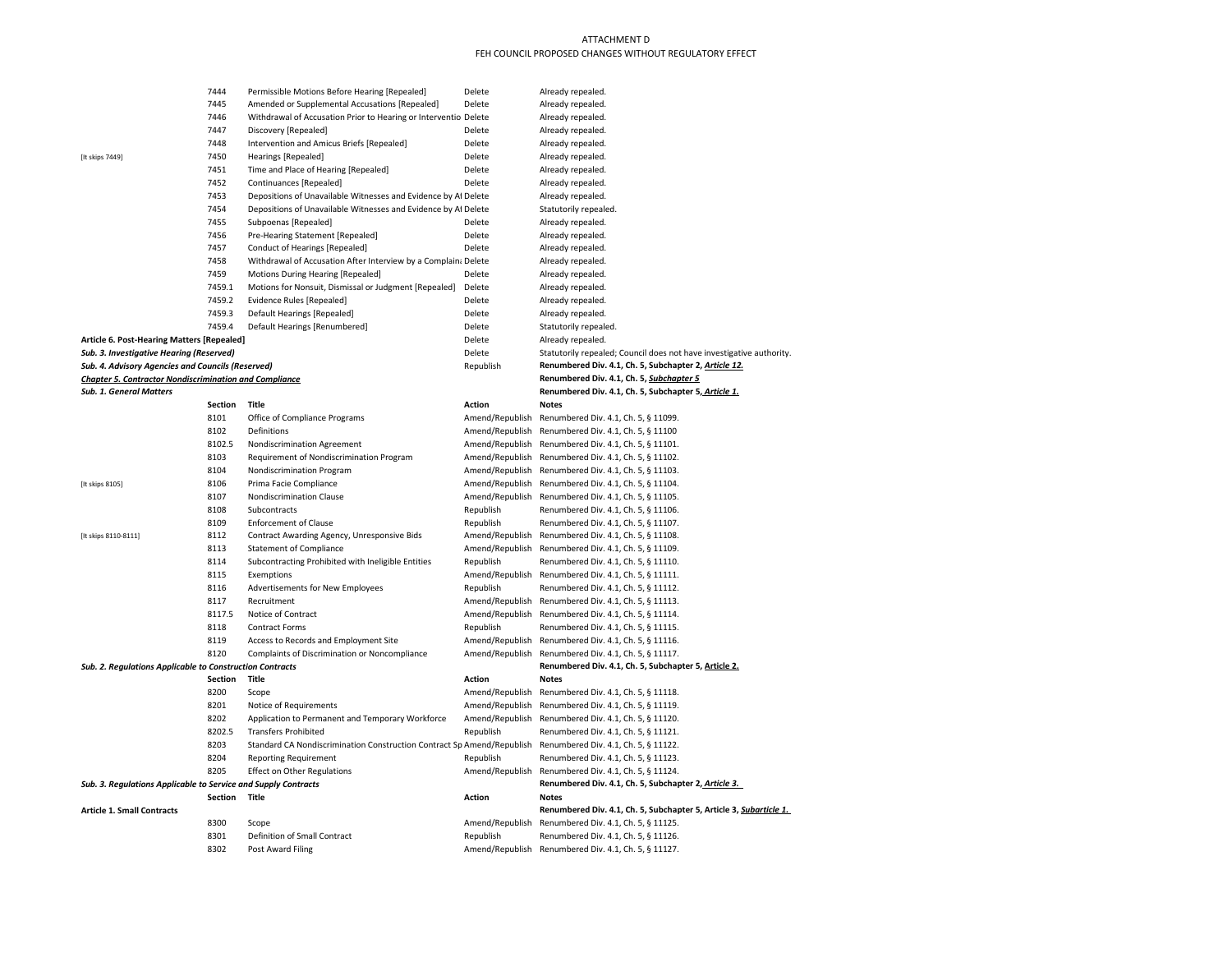|                                                                | 7444           | Permissible Motions Before Hearing [Repealed]                                                               | Delete          | Already repealed.                                                                            |
|----------------------------------------------------------------|----------------|-------------------------------------------------------------------------------------------------------------|-----------------|----------------------------------------------------------------------------------------------|
|                                                                | 7445           | Amended or Supplemental Accusations [Repealed]                                                              | Delete          | Already repealed.                                                                            |
|                                                                | 7446           | Withdrawal of Accusation Prior to Hearing or Interventio Delete                                             |                 | Already repealed.                                                                            |
|                                                                | 7447           | Discovery [Repealed]                                                                                        | Delete          | Already repealed.                                                                            |
|                                                                | 7448           | Intervention and Amicus Briefs [Repealed]                                                                   | Delete          | Already repealed.                                                                            |
| [It skips 7449]                                                | 7450           | <b>Hearings [Repealed]</b>                                                                                  | Delete          | Already repealed.                                                                            |
|                                                                | 7451           | Time and Place of Hearing [Repealed]                                                                        | Delete          | Already repealed.                                                                            |
|                                                                | 7452           | Continuances [Repealed]                                                                                     | Delete          | Already repealed.                                                                            |
|                                                                | 7453           | Depositions of Unavailable Witnesses and Evidence by Af Delete                                              |                 | Already repealed.                                                                            |
|                                                                | 7454           | Depositions of Unavailable Witnesses and Evidence by Af Delete                                              |                 | Statutorily repealed.                                                                        |
|                                                                | 7455           | Subpoenas [Repealed]                                                                                        | Delete          | Already repealed.                                                                            |
|                                                                | 7456           | Pre-Hearing Statement [Repealed]                                                                            | Delete          | Already repealed.                                                                            |
|                                                                | 7457           | Conduct of Hearings [Repealed]                                                                              | Delete          | Already repealed.                                                                            |
|                                                                | 7458           | Withdrawal of Accusation After Interview by a Complain: Delete                                              |                 | Already repealed.                                                                            |
|                                                                | 7459           | Motions During Hearing [Repealed]                                                                           | Delete          | Already repealed.                                                                            |
|                                                                | 7459.1         | Motions for Nonsuit, Dismissal or Judgment [Repealed]                                                       | Delete          | Already repealed.                                                                            |
|                                                                | 7459.2         | <b>Evidence Rules [Repealed]</b>                                                                            | Delete          | Already repealed.                                                                            |
|                                                                | 7459.3         | Default Hearings [Repealed]                                                                                 | Delete          | Already repealed.                                                                            |
|                                                                | 7459.4         | Default Hearings [Renumbered]                                                                               | Delete          | Statutorily repealed.                                                                        |
| Article 6. Post-Hearing Matters [Repealed]                     |                |                                                                                                             | Delete          | Already repealed.                                                                            |
| Sub. 3. Investigative Hearing (Reserved)                       |                |                                                                                                             | Delete          | Statutorily repealed; Council does not have investigative authority.                         |
| Sub. 4. Advisory Agencies and Councils (Reserved)              |                |                                                                                                             | Republish       | Renumbered Div. 4.1, Ch. 5, Subchapter 2, Article 12.                                        |
| <b>Chapter 5. Contractor Nondiscrimination and Compliance</b>  |                |                                                                                                             |                 | Renumbered Div. 4.1, Ch. 5, Subchapter 5                                                     |
| <b>Sub. 1. General Matters</b>                                 |                |                                                                                                             |                 | Renumbered Div. 4.1, Ch. 5, Subchapter 5, Article 1.                                         |
|                                                                | Section        | Title                                                                                                       | <b>Action</b>   | <b>Notes</b>                                                                                 |
|                                                                | 8101           | Office of Compliance Programs                                                                               | Amend/Republish | Renumbered Div. 4.1, Ch. 5, § 11099.                                                         |
|                                                                | 8102           | Definitions                                                                                                 | Amend/Republish | Renumbered Div. 4.1, Ch. 5, § 11100                                                          |
|                                                                | 8102.5         | Nondiscrimination Agreement                                                                                 | Amend/Republish | Renumbered Div. 4.1, Ch. 5, § 11101.                                                         |
|                                                                | 8103           | Requirement of Nondiscrimination Program                                                                    |                 | Amend/Republish Renumbered Div. 4.1, Ch. 5, § 11102.                                         |
|                                                                | 8104           | Nondiscrimination Program                                                                                   | Amend/Republish | Renumbered Div. 4.1, Ch. 5, § 11103.                                                         |
| [It skips 8105]                                                | 8106           | Prima Facie Compliance                                                                                      | Amend/Republish | Renumbered Div. 4.1, Ch. 5, § 11104.                                                         |
|                                                                | 8107           | Nondiscrimination Clause                                                                                    |                 | Amend/Republish Renumbered Div. 4.1, Ch. 5, § 11105.                                         |
|                                                                | 8108           | Subcontracts                                                                                                | Republish       | Renumbered Div. 4.1, Ch. 5, § 11106.                                                         |
|                                                                | 8109           | Enforcement of Clause                                                                                       | Republish       | Renumbered Div. 4.1, Ch. 5, § 11107.                                                         |
| [It skips 8110-8111]                                           | 8112           | Contract Awarding Agency, Unresponsive Bids                                                                 | Amend/Republish | Renumbered Div. 4.1, Ch. 5, § 11108.                                                         |
|                                                                | 8113           | <b>Statement of Compliance</b>                                                                              | Amend/Republish | Renumbered Div. 4.1, Ch. 5, § 11109.                                                         |
|                                                                | 8114           | Subcontracting Prohibited with Ineligible Entities                                                          | Republish       | Renumbered Div. 4.1, Ch. 5, § 11110.                                                         |
|                                                                | 8115           | Exemptions                                                                                                  |                 | Amend/Republish Renumbered Div. 4.1, Ch. 5, § 11111.                                         |
|                                                                | 8116           | Advertisements for New Employees                                                                            | Republish       | Renumbered Div. 4.1, Ch. 5, § 11112.                                                         |
|                                                                | 8117           | Recruitment                                                                                                 |                 | Amend/Republish Renumbered Div. 4.1, Ch. 5, § 11113.                                         |
|                                                                | 8117.5         | Notice of Contract                                                                                          | Amend/Republish | Renumbered Div. 4.1, Ch. 5, § 11114.                                                         |
|                                                                | 8118           | <b>Contract Forms</b>                                                                                       | Republish       | Renumbered Div. 4.1, Ch. 5, § 11115.                                                         |
|                                                                | 8119           | Access to Records and Employment Site                                                                       | Amend/Republish | Renumbered Div. 4.1, Ch. 5, § 11116.                                                         |
|                                                                | 8120           | Complaints of Discrimination or Noncompliance                                                               | Amend/Republish | Renumbered Div. 4.1, Ch. 5, § 11117.                                                         |
| Sub. 2. Regulations Applicable to Construction Contracts       |                |                                                                                                             |                 | Renumbered Div. 4.1, Ch. 5, Subchapter 5, Article 2.                                         |
|                                                                | <b>Section</b> | Title                                                                                                       | <b>Action</b>   | <b>Notes</b>                                                                                 |
|                                                                | 8200           | Scope                                                                                                       | Amend/Republish | Renumbered Div. 4.1, Ch. 5, § 11118.                                                         |
|                                                                | 8201           | Notice of Requirements                                                                                      | Amend/Republish | Renumbered Div. 4.1, Ch. 5, § 11119.                                                         |
|                                                                | 8202           | Application to Permanent and Temporary Workforce                                                            | Amend/Republish | Renumbered Div. 4.1, Ch. 5, § 11120.                                                         |
|                                                                | 8202.5         | <b>Transfers Prohibited</b>                                                                                 | Republish       | Renumbered Div. 4.1, Ch. 5, § 11121.                                                         |
|                                                                | 8203           | Standard CA Nondiscrimination Construction Contract Sp Amend/Republish Renumbered Div. 4.1, Ch. 5, § 11122. |                 |                                                                                              |
|                                                                | 8204           | <b>Reporting Requirement</b>                                                                                | Republish       | Renumbered Div. 4.1, Ch. 5, § 11123.                                                         |
|                                                                | 8205           | <b>Effect on Other Regulations</b>                                                                          | Amend/Republish | Renumbered Div. 4.1, Ch. 5, § 11124.                                                         |
| Sub. 3. Regulations Applicable to Service and Supply Contracts |                |                                                                                                             |                 | Renumbered Div. 4.1, Ch. 5, Subchapter 2, Article 3.                                         |
|                                                                | <b>Section</b> | Title                                                                                                       | <b>Action</b>   | <b>Notes</b>                                                                                 |
| <b>Article 1. Small Contracts</b>                              |                |                                                                                                             |                 |                                                                                              |
|                                                                |                |                                                                                                             |                 | Renumbered Div. 4.1, Ch. 5, Subchapter 5, Article 3, Subarticle 1.                           |
|                                                                | 8300           | Scope                                                                                                       |                 | Amend/Republish Renumbered Div. 4.1, Ch. 5, § 11125.                                         |
|                                                                | 8301<br>8302   | Definition of Small Contract<br>Post Award Filing                                                           | Republish       | Renumbered Div. 4.1, Ch. 5, § 11126.<br>Amend/Republish Renumbered Div. 4.1, Ch. 5, § 11127. |